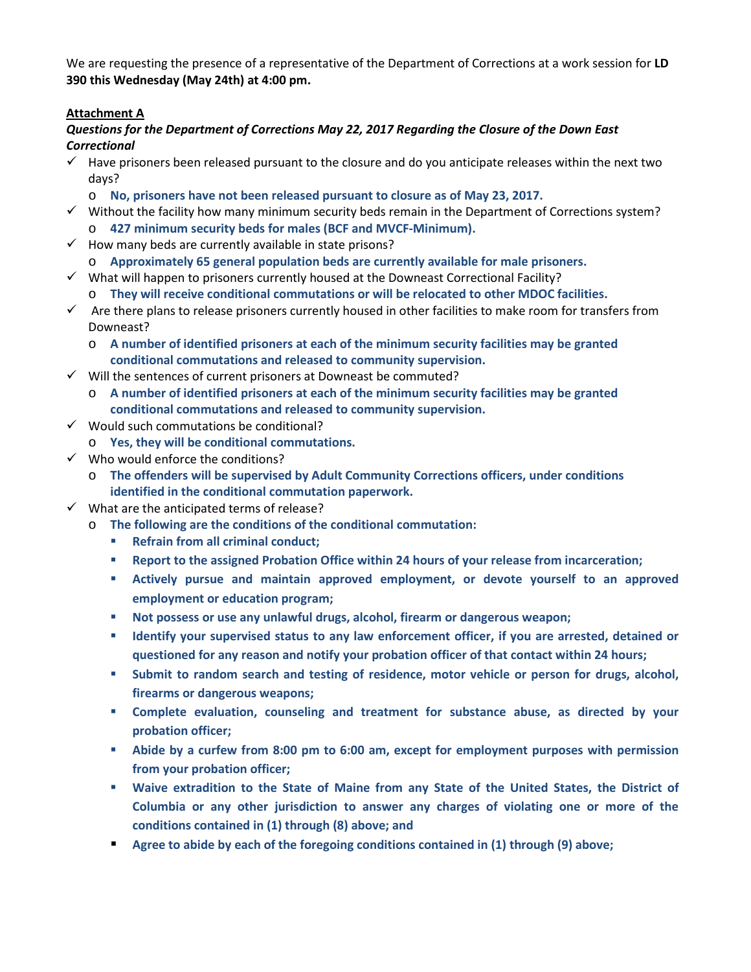We are requesting the presence of a representative of the Department of Corrections at a work session for **LD 390 this Wednesday (May 24th) at 4:00 pm.**

### **Attachment A**

# *Questions for the Department of Corrections May 22, 2017 Regarding the Closure of the Down East Correctional*

- $\checkmark$  Have prisoners been released pursuant to the closure and do you anticipate releases within the next two days?
	- o **No, prisoners have not been released pursuant to closure as of May 23, 2017.**
- $\checkmark$  Without the facility how many minimum security beds remain in the Department of Corrections system? o **427 minimum security beds for males (BCF and MVCF-Minimum).**
- $\checkmark$  How many beds are currently available in state prisons?
	- o **Approximately 65 general population beds are currently available for male prisoners.**
- $\checkmark$  What will happen to prisoners currently housed at the Downeast Correctional Facility?
	- o **They will receive conditional commutations or will be relocated to other MDOC facilities.**
- $\checkmark$  Are there plans to release prisoners currently housed in other facilities to make room for transfers from Downeast?
	- o **A number of identified prisoners at each of the minimum security facilities may be granted conditional commutations and released to community supervision.**
- $\checkmark$  Will the sentences of current prisoners at Downeast be commuted?
	- o **A number of identified prisoners at each of the minimum security facilities may be granted conditional commutations and released to community supervision.**
- $\checkmark$  Would such commutations be conditional?
	- o **Yes, they will be conditional commutations.**
- $\checkmark$  Who would enforce the conditions?
	- o **The offenders will be supervised by Adult Community Corrections officers, under conditions identified in the conditional commutation paperwork.**
- $\checkmark$  What are the anticipated terms of release?
	- o **The following are the conditions of the conditional commutation:**
		- **Refrain from all criminal conduct:**
		- **Report to the assigned Probation Office within 24 hours of your release from incarceration;**
		- **Actively pursue and maintain approved employment, or devote yourself to an approved employment or education program;**
		- **Not possess or use any unlawful drugs, alcohol, firearm or dangerous weapon;**
		- **IDENTIFY 1** Identify your supervised status to any law enforcement officer, if you are arrested, detained or **questioned for any reason and notify your probation officer of that contact within 24 hours;**
		- **Submit to random search and testing of residence, motor vehicle or person for drugs, alcohol, firearms or dangerous weapons;**
		- **Complete evaluation, counseling and treatment for substance abuse, as directed by your probation officer;**
		- **Abide by a curfew from 8:00 pm to 6:00 am, except for employment purposes with permission from your probation officer;**
		- **Waive extradition to the State of Maine from any State of the United States, the District of Columbia or any other jurisdiction to answer any charges of violating one or more of the conditions contained in (1) through (8) above; and**
		- **Agree to abide by each of the foregoing conditions contained in (1) through (9) above;**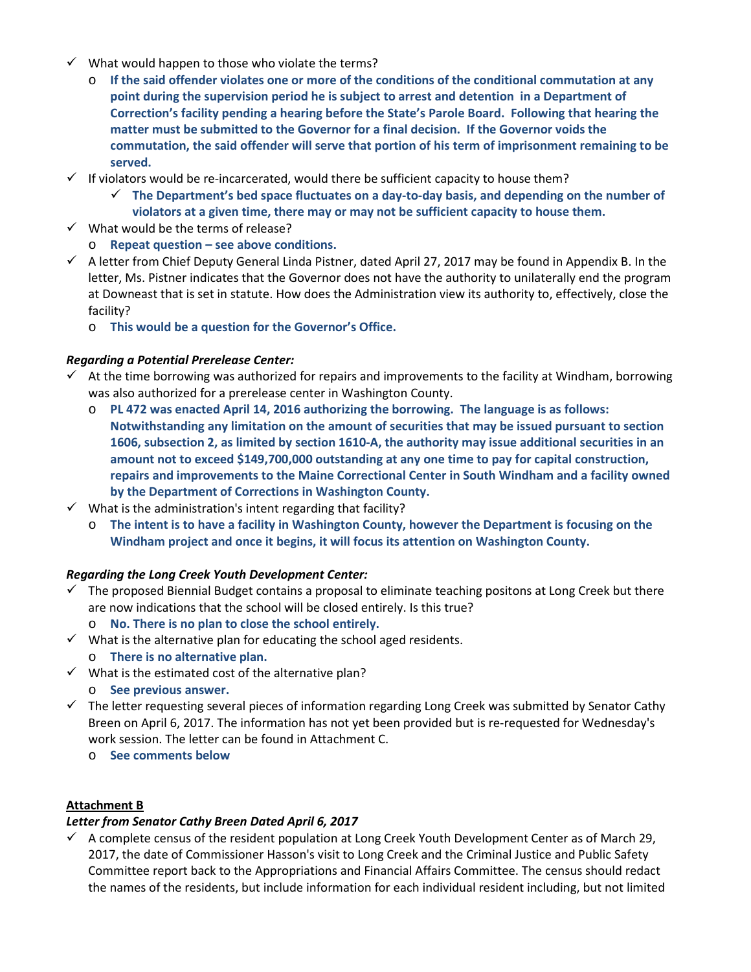- $\checkmark$  What would happen to those who violate the terms?
	- o **If the said offender violates one or more of the conditions of the conditional commutation at any point during the supervision period he is subject to arrest and detention in a Department of Correction's facility pending a hearing before the State's Parole Board. Following that hearing the matter must be submitted to the Governor for a final decision. If the Governor voids the commutation, the said offender will serve that portion of his term of imprisonment remaining to be served.**
- $\checkmark$  If violators would be re-incarcerated, would there be sufficient capacity to house them?
	- **The Department's bed space fluctuates on a day-to-day basis, and depending on the number of violators at a given time, there may or may not be sufficient capacity to house them.**
- $\checkmark$  What would be the terms of release?
	- o **Repeat question see above conditions.**
- $\checkmark$  A letter from Chief Deputy General Linda Pistner, dated April 27, 2017 may be found in Appendix B. In the letter, Ms. Pistner indicates that the Governor does not have the authority to unilaterally end the program at Downeast that is set in statute. How does the Administration view its authority to, effectively, close the facility?
	- o **This would be a question for the Governor's Office.**

### *Regarding a Potential Prerelease Center:*

- $\checkmark$  At the time borrowing was authorized for repairs and improvements to the facility at Windham, borrowing was also authorized for a prerelease center in Washington County.
	- o **PL 472 was enacted April 14, 2016 authorizing the borrowing. The language is as follows: Notwithstanding any limitation on the amount of securities that may be issued pursuant to section 1606, subsection 2, as limited by section 1610-A, the authority may issue additional securities in an amount not to exceed \$149,700,000 outstanding at any one time to pay for capital construction, repairs and improvements to the Maine Correctional Center in South Windham and a facility owned by the Department of Corrections in Washington County.**
- $\checkmark$  What is the administration's intent regarding that facility?
	- o **The intent is to have a facility in Washington County, however the Department is focusing on the Windham project and once it begins, it will focus its attention on Washington County.**

# *Regarding the Long Creek Youth Development Center:*

- $\checkmark$  The proposed Biennial Budget contains a proposal to eliminate teaching positons at Long Creek but there are now indications that the school will be closed entirely. Is this true?
	- o **No. There is no plan to close the school entirely.**
- $\checkmark$  What is the alternative plan for educating the school aged residents.
	- o **There is no alternative plan.**
- $\checkmark$  What is the estimated cost of the alternative plan?
	- o **See previous answer.**
- $\checkmark$  The letter requesting several pieces of information regarding Long Creek was submitted by Senator Cathy Breen on April 6, 2017. The information has not yet been provided but is re-requested for Wednesday's work session. The letter can be found in Attachment C.
	- o **See comments below**

#### **Attachment B**

#### *Letter from Senator Cathy Breen Dated April 6, 2017*

 $\checkmark$  A complete census of the resident population at Long Creek Youth Development Center as of March 29, 2017, the date of Commissioner Hasson's visit to Long Creek and the Criminal Justice and Public Safety Committee report back to the Appropriations and Financial Affairs Committee. The census should redact the names of the residents, but include information for each individual resident including, but not limited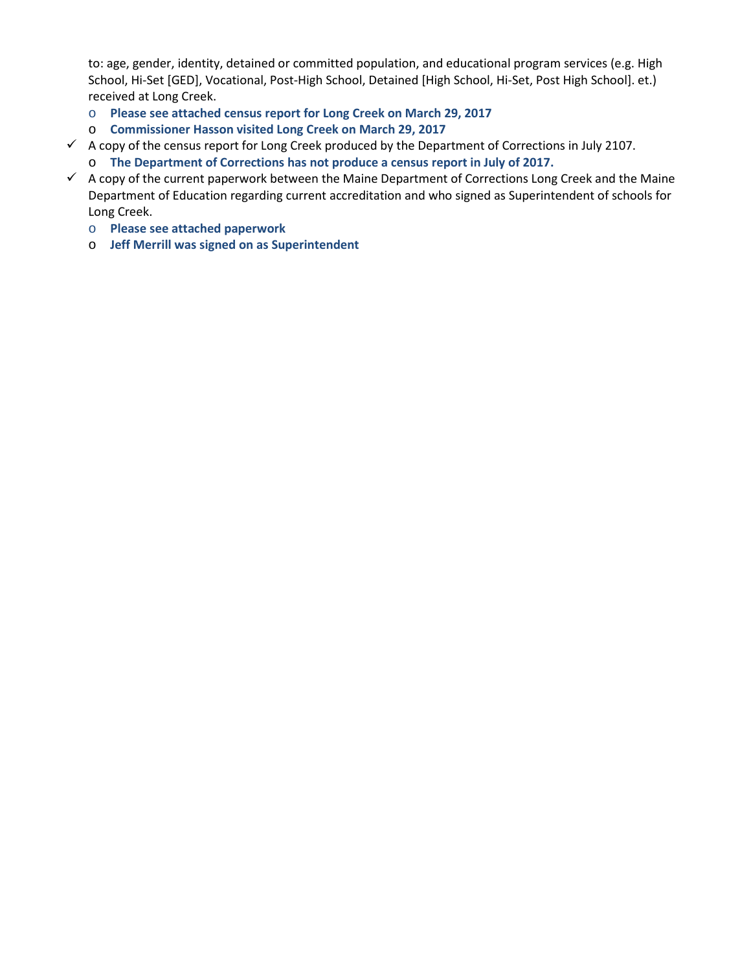to: age, gender, identity, detained or committed population, and educational program services (e.g. High School, Hi-Set [GED], Vocational, Post-High School, Detained [High School, Hi-Set, Post High School]. et.) received at Long Creek.

- o **Please see attached census report for Long Creek on March 29, 2017**
- o **Commissioner Hasson visited Long Creek on March 29, 2017**
- $\checkmark$  A copy of the census report for Long Creek produced by the Department of Corrections in July 2107. o **The Department of Corrections has not produce a census report in July of 2017.**
- $\checkmark$  A copy of the current paperwork between the Maine Department of Corrections Long Creek and the Maine Department of Education regarding current accreditation and who signed as Superintendent of schools for Long Creek.
	- o **Please see attached paperwork**
	- o **Jeff Merrill was signed on as Superintendent**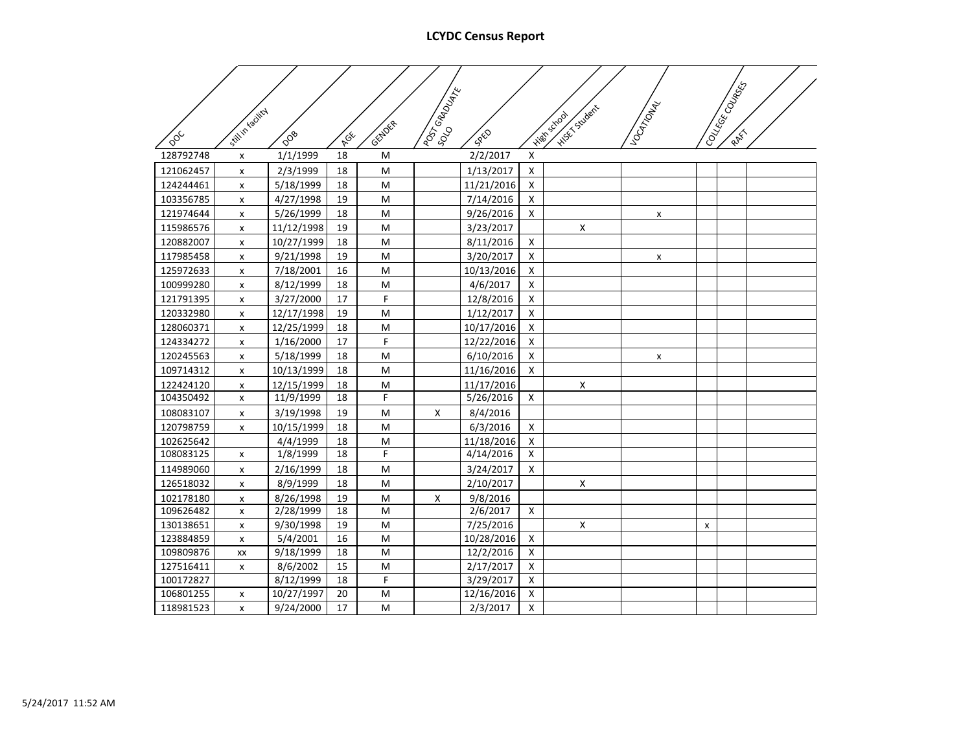### **LCYDC Census Report**

|           |                    |            |            |        | I POTT GRADUATE |            |                    |                                |             | Concept Concept |  |
|-----------|--------------------|------------|------------|--------|-----------------|------------|--------------------|--------------------------------|-------------|-----------------|--|
|           |                    |            |            |        |                 |            |                    |                                |             |                 |  |
|           |                    |            |            |        |                 |            |                    |                                |             |                 |  |
| DOC       | Still in facility  | 008        | <b>AGE</b> | GENDER |                 | SPED       |                    | HISET Stubert<br>iniden school | IVOCATOONAL |                 |  |
| 128792748 | $\pmb{\mathsf{x}}$ | 1/1/1999   | 18         | M      |                 | 2/2/2017   | Χ                  |                                |             |                 |  |
| 121062457 | $\pmb{\mathsf{x}}$ | 2/3/1999   | 18         | M      |                 | 1/13/2017  | X                  |                                |             |                 |  |
| 124244461 | x                  | 5/18/1999  | 18         | M      |                 | 11/21/2016 | X                  |                                |             |                 |  |
| 103356785 | x                  | 4/27/1998  | 19         | M      |                 | 7/14/2016  | X                  |                                |             |                 |  |
| 121974644 | $\mathsf{x}$       | 5/26/1999  | 18         | M      |                 | 9/26/2016  | X                  |                                | x           |                 |  |
| 115986576 | X                  | 11/12/1998 | 19         | M      |                 | 3/23/2017  |                    | $\pmb{\times}$                 |             |                 |  |
| 120882007 | x                  | 10/27/1999 | 18         | M      |                 | 8/11/2016  | X                  |                                |             |                 |  |
| 117985458 | $\pmb{\times}$     | 9/21/1998  | 19         | M      |                 | 3/20/2017  | $\pmb{\times}$     |                                | X           |                 |  |
| 125972633 | X                  | 7/18/2001  | 16         | M      |                 | 10/13/2016 | X                  |                                |             |                 |  |
| 100999280 | X                  | 8/12/1999  | 18         | M      |                 | 4/6/2017   | $\pmb{\mathsf{X}}$ |                                |             |                 |  |
| 121791395 | X                  | 3/27/2000  | 17         | F      |                 | 12/8/2016  | $\pmb{\mathsf{X}}$ |                                |             |                 |  |
| 120332980 | X                  | 12/17/1998 | 19         | M      |                 | 1/12/2017  | X                  |                                |             |                 |  |
| 128060371 | X                  | 12/25/1999 | 18         | M      |                 | 10/17/2016 | X                  |                                |             |                 |  |
| 124334272 | X                  | 1/16/2000  | 17         | F      |                 | 12/22/2016 | X                  |                                |             |                 |  |
| 120245563 | X                  | 5/18/1999  | 18         | M      |                 | 6/10/2016  | X                  |                                | X           |                 |  |
| 109714312 | X                  | 10/13/1999 | 18         | M      |                 | 11/16/2016 | X                  |                                |             |                 |  |
| 122424120 | X                  | 12/15/1999 | 18         | M      |                 | 11/17/2016 |                    | X                              |             |                 |  |
| 104350492 | X                  | 11/9/1999  | 18         | F      |                 | 5/26/2016  | X                  |                                |             |                 |  |
| 108083107 | X                  | 3/19/1998  | 19         | M      | X               | 8/4/2016   |                    |                                |             |                 |  |
| 120798759 | X                  | 10/15/1999 | 18         | M      |                 | 6/3/2016   | X                  |                                |             |                 |  |
| 102625642 |                    | 4/4/1999   | 18         | M      |                 | 11/18/2016 | X                  |                                |             |                 |  |
| 108083125 | X                  | 1/8/1999   | 18         | F      |                 | 4/14/2016  | Χ                  |                                |             |                 |  |
| 114989060 | X                  | 2/16/1999  | 18         | M      |                 | 3/24/2017  | X                  |                                |             |                 |  |
| 126518032 | $\pmb{\mathsf{x}}$ | 8/9/1999   | 18         | M      |                 | 2/10/2017  |                    | X                              |             |                 |  |
| 102178180 | $\pmb{\mathsf{x}}$ | 8/26/1998  | 19         | M      | $\mathsf X$     | 9/8/2016   |                    |                                |             |                 |  |
| 109626482 | $\pmb{\mathsf{x}}$ | 2/28/1999  | 18         | M      |                 | 2/6/2017   | $\mathsf{x}$       |                                |             |                 |  |
| 130138651 | X                  | 9/30/1998  | 19         | M      |                 | 7/25/2016  |                    | $\pmb{\times}$                 |             | X               |  |
| 123884859 | X                  | 5/4/2001   | 16         | M      |                 | 10/28/2016 | Χ                  |                                |             |                 |  |
| 109809876 | XX                 | 9/18/1999  | 18         | M      |                 | 12/2/2016  | X                  |                                |             |                 |  |
| 127516411 | X                  | 8/6/2002   | 15         | M      |                 | 2/17/2017  | X                  |                                |             |                 |  |
| 100172827 |                    | 8/12/1999  | 18         | F      |                 | 3/29/2017  | $\pmb{\times}$     |                                |             |                 |  |
| 106801255 | X                  | 10/27/1997 | 20         | M      |                 | 12/16/2016 | X                  |                                |             |                 |  |
| 118981523 | X                  | 9/24/2000  | 17         | M      |                 | 2/3/2017   | X                  |                                |             |                 |  |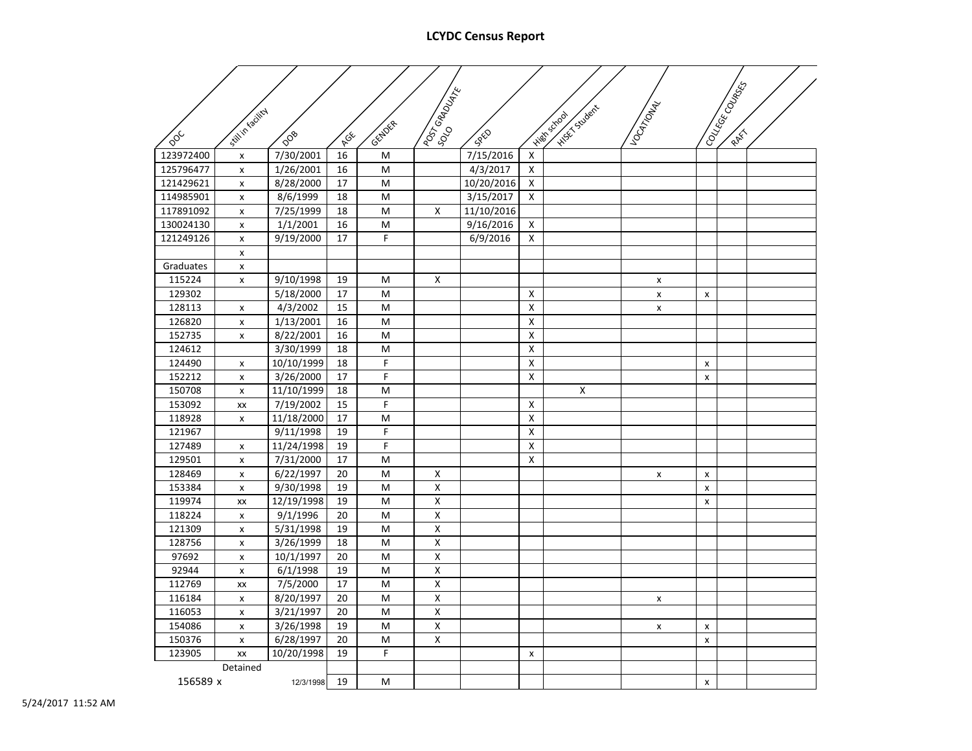### **LCYDC Census Report**

| $\frac{\delta}{2}$ | Still in facility  | 008        | AGE | GENDER      | Poor GROUNTE            | SPED       |                    | Hitch Stubert<br>High school | IVOCATIONAL        | loo <sub>uses</sub> |  |
|--------------------|--------------------|------------|-----|-------------|-------------------------|------------|--------------------|------------------------------|--------------------|---------------------|--|
| 123972400          | $\pmb{\times}$     | 7/30/2001  | 16  | M           |                         | 7/15/2016  | X                  |                              |                    |                     |  |
| 125796477          | x                  | 1/26/2001  | 16  | M           |                         | 4/3/2017   | X                  |                              |                    |                     |  |
| 121429621          | x                  | 8/28/2000  | 17  | M           |                         | 10/20/2016 | X                  |                              |                    |                     |  |
| 114985901          | $\pmb{\mathsf{x}}$ | 8/6/1999   | 18  | M           |                         | 3/15/2017  | X                  |                              |                    |                     |  |
| 117891092          | $\pmb{\times}$     | 7/25/1999  | 18  | M           | X                       | 11/10/2016 |                    |                              |                    |                     |  |
| 130024130          | X                  | 1/1/2001   | 16  | M           |                         | 9/16/2016  | X                  |                              |                    |                     |  |
| 121249126          | $\pmb{\times}$     | 9/19/2000  | 17  | F           |                         | 6/9/2016   | X                  |                              |                    |                     |  |
|                    | X                  |            |     |             |                         |            |                    |                              |                    |                     |  |
| Graduates          | X                  |            |     |             |                         |            |                    |                              |                    |                     |  |
| 115224             | $\pmb{\times}$     | 9/10/1998  | 19  | M           | X                       |            |                    |                              | x                  |                     |  |
| 129302             |                    | 5/18/2000  | 17  | M           |                         |            | X                  |                              | $\pmb{\mathsf{x}}$ | X                   |  |
| 128113             | X                  | 4/3/2002   | 15  | M           |                         |            | X                  |                              | $\mathsf{x}$       |                     |  |
| 126820             | $\pmb{\mathsf{x}}$ | 1/13/2001  | 16  | M           |                         |            | X                  |                              |                    |                     |  |
| 152735             | $\pmb{\times}$     | 8/22/2001  | 16  | M           |                         |            | X                  |                              |                    |                     |  |
| 124612             |                    | 3/30/1999  | 18  | M           |                         |            | X                  |                              |                    |                     |  |
| 124490             | x                  | 10/10/1999 | 18  | $\mathsf F$ |                         |            | X                  |                              |                    | X                   |  |
| 152212             | x                  | 3/26/2000  | 17  | F           |                         |            | X                  |                              |                    | $\pmb{\mathsf{x}}$  |  |
| 150708             | $\pmb{\times}$     | 11/10/1999 | 18  | M           |                         |            |                    | $\pmb{\mathsf{X}}$           |                    |                     |  |
| 153092             | XX                 | 7/19/2002  | 15  | $\mathsf F$ |                         |            | X                  |                              |                    |                     |  |
| 118928             | $\pmb{\times}$     | 11/18/2000 | 17  | M           |                         |            | Χ                  |                              |                    |                     |  |
| 121967             |                    | 9/11/1998  | 19  | F           |                         |            | X                  |                              |                    |                     |  |
| 127489             | X                  | 11/24/1998 | 19  | $\mathsf F$ |                         |            | $\pmb{\mathsf{X}}$ |                              |                    |                     |  |
| 129501             | $\pmb{\times}$     | 7/31/2000  | 17  | M           |                         |            | X                  |                              |                    |                     |  |
| 128469             | X                  | 6/22/1997  | 20  | M           | X                       |            |                    |                              | x                  | X                   |  |
| 153384             | $\pmb{\mathsf{x}}$ | 9/30/1998  | 19  | M           | $\pmb{\mathsf{X}}$      |            |                    |                              |                    | $\pmb{\times}$      |  |
| 119974             | XX                 | 12/19/1998 | 19  | M           | $\overline{\mathsf{X}}$ |            |                    |                              |                    | x                   |  |
| 118224             | x                  | 9/1/1996   | 20  | M           | X                       |            |                    |                              |                    |                     |  |
| 121309             | $\pmb{\times}$     | 5/31/1998  | 19  | M           | $\overline{\mathsf{X}}$ |            |                    |                              |                    |                     |  |
| 128756             | $\pmb{\mathsf{x}}$ | 3/26/1999  | 18  | M           | X                       |            |                    |                              |                    |                     |  |
| 97692              | X                  | 10/1/1997  | 20  | M           | $\overline{\mathsf{X}}$ |            |                    |                              |                    |                     |  |
| 92944              | $\mathsf{x}$       | 6/1/1998   | 19  | M           | $\overline{X}$          |            |                    |                              |                    |                     |  |
| 112769             | XX                 | 7/5/2000   | 17  | M           | X                       |            |                    |                              |                    |                     |  |
| 116184             | x                  | 8/20/1997  | 20  | M           | $\overline{X}$          |            |                    |                              | x                  |                     |  |
| 116053             | $\pmb{\mathsf{x}}$ | 3/21/1997  | 20  | M           | $\overline{\mathsf{x}}$ |            |                    |                              |                    |                     |  |
| 154086             | X                  | 3/26/1998  | 19  | M           | X                       |            |                    |                              | x                  | x                   |  |
| 150376             | X                  | 6/28/1997  | 20  | M           | $\pmb{\mathsf{X}}$      |            |                    |                              |                    | x                   |  |
| 123905             | XX                 | 10/20/1998 | 19  | F           |                         |            | X                  |                              |                    |                     |  |
|                    | Detained           |            |     |             |                         |            |                    |                              |                    |                     |  |
| 156589 x           |                    | 12/3/1998  | 19  | M           |                         |            |                    |                              |                    | X                   |  |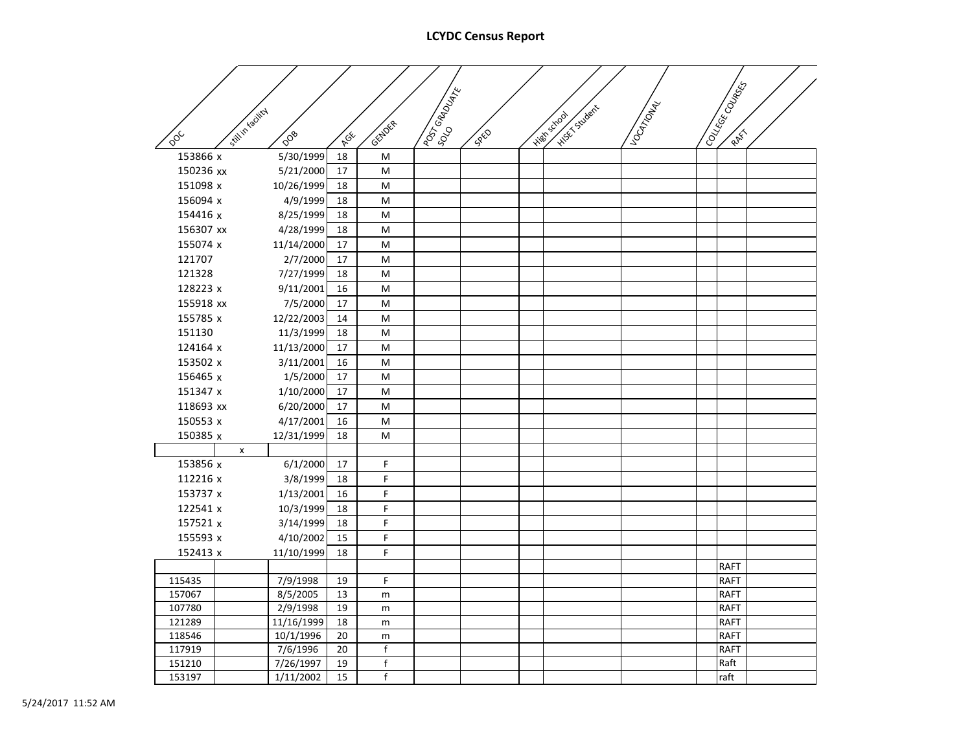### **LCYDC Census Report**

|                    |               |     |             | PostoRapidal |             |                               |             | Courtes Country |  |
|--------------------|---------------|-----|-------------|--------------|-------------|-------------------------------|-------------|-----------------|--|
|                    |               |     |             |              |             |                               |             |                 |  |
| Still in facility  |               |     | GENDER      |              |             | Hitsch student<br>High school | IVOCATIONAL |                 |  |
| $\overline{Q}_{Q}$ | $\frac{1}{2}$ | AGE |             |              | <b>SPED</b> |                               |             |                 |  |
| 153866 x           | 5/30/1999     | 18  | M           |              |             |                               |             |                 |  |
| 150236 xx          | 5/21/2000     | 17  | M           |              |             |                               |             |                 |  |
| 151098 x           | 10/26/1999    | 18  | M           |              |             |                               |             |                 |  |
| 156094 x           | 4/9/1999      | 18  | M           |              |             |                               |             |                 |  |
| 154416 x           | 8/25/1999     | 18  | M           |              |             |                               |             |                 |  |
| 156307 xx          | 4/28/1999     | 18  | M           |              |             |                               |             |                 |  |
| 155074 x           | 11/14/2000    | 17  | M           |              |             |                               |             |                 |  |
| 121707             | 2/7/2000      | 17  | M           |              |             |                               |             |                 |  |
| 121328             | 7/27/1999     | 18  | M           |              |             |                               |             |                 |  |
| 128223 x           | 9/11/2001     | 16  | M           |              |             |                               |             |                 |  |
| 155918 xx          | 7/5/2000      | 17  | M           |              |             |                               |             |                 |  |
| 155785 x           | 12/22/2003    | 14  | M           |              |             |                               |             |                 |  |
| 151130             | 11/3/1999     | 18  | M           |              |             |                               |             |                 |  |
| 124164 x           | 11/13/2000    | 17  | M           |              |             |                               |             |                 |  |
| 153502 x           | 3/11/2001     | 16  | M           |              |             |                               |             |                 |  |
| 156465 x           | 1/5/2000      | 17  | M           |              |             |                               |             |                 |  |
| 151347 x           | 1/10/2000     | 17  | M           |              |             |                               |             |                 |  |
| 118693 xx          | 6/20/2000     | 17  | M           |              |             |                               |             |                 |  |
| 150553 x           | 4/17/2001     | 16  | M           |              |             |                               |             |                 |  |
| 150385 x           | 12/31/1999    | 18  | M           |              |             |                               |             |                 |  |
| X                  |               |     |             |              |             |                               |             |                 |  |
| 153856 x           | 6/1/2000      | 17  | $\mathsf F$ |              |             |                               |             |                 |  |
| 112216 x           | 3/8/1999      | 18  | $\mathsf F$ |              |             |                               |             |                 |  |
| 153737 x           | 1/13/2001     | 16  | $\mathsf F$ |              |             |                               |             |                 |  |
| 122541 x           | 10/3/1999     | 18  | F           |              |             |                               |             |                 |  |
| 157521 x           | 3/14/1999     | 18  | F           |              |             |                               |             |                 |  |
| 155593 x           | 4/10/2002     | 15  | F           |              |             |                               |             |                 |  |
| 152413 x           | 11/10/1999    | 18  | F           |              |             |                               |             |                 |  |
|                    |               |     |             |              |             |                               |             | <b>RAFT</b>     |  |
| 115435             | 7/9/1998      | 19  | F           |              |             |                               |             | <b>RAFT</b>     |  |
| 157067             | 8/5/2005      | 13  | m           |              |             |                               |             | <b>RAFT</b>     |  |
| 107780             | 2/9/1998      | 19  | m           |              |             |                               |             | <b>RAFT</b>     |  |
| 121289             | 11/16/1999    | 18  | m           |              |             |                               |             | RAFT            |  |
| 118546             | 10/1/1996     | 20  | m           |              |             |                               |             | <b>RAFT</b>     |  |
| 117919             | 7/6/1996      | 20  | f           |              |             |                               |             | <b>RAFT</b>     |  |
| 151210             | 7/26/1997     | 19  | $\sf f$     |              |             |                               |             | Raft            |  |
| 153197             | 1/11/2002     | 15  | f           |              |             |                               |             | raft            |  |